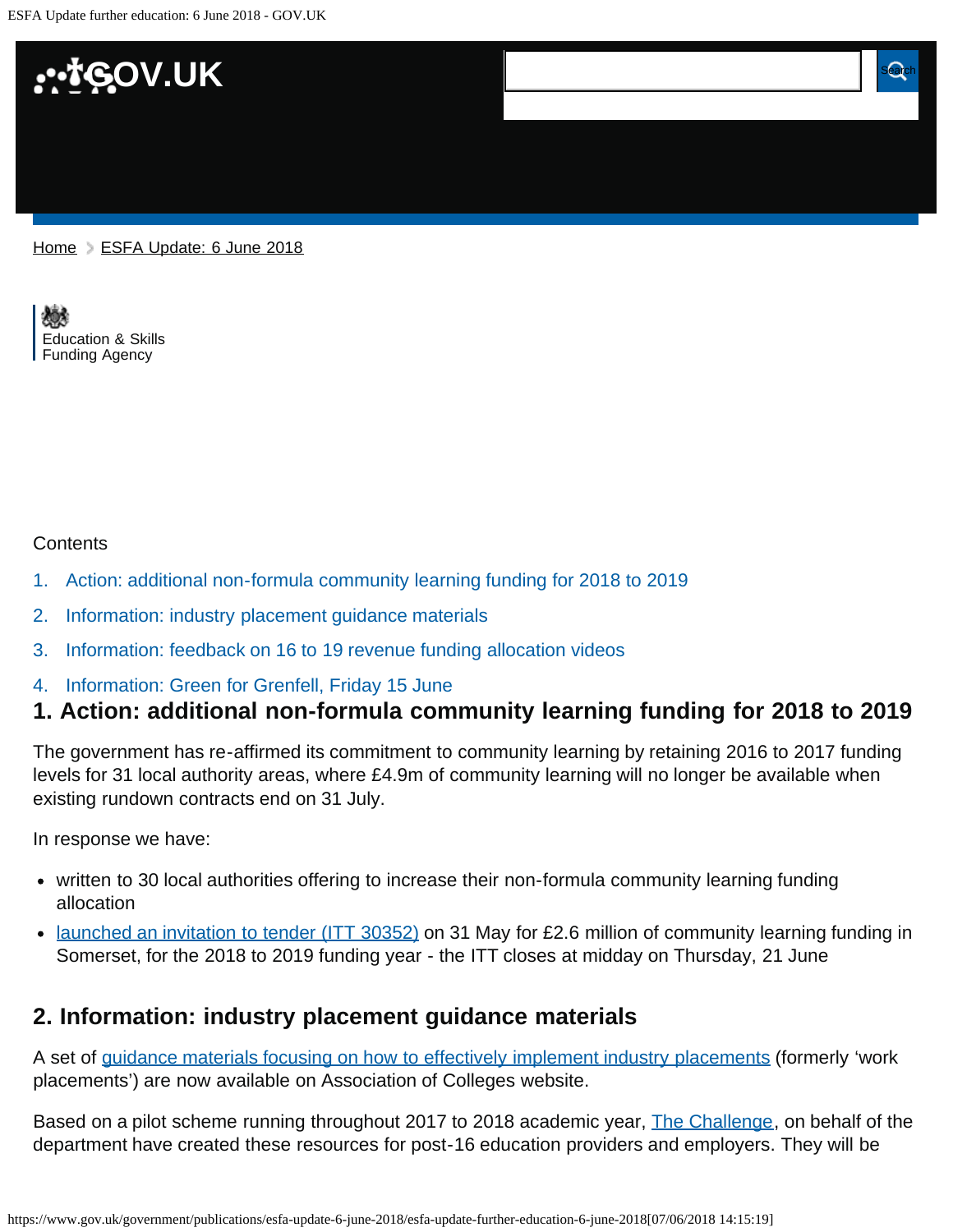

[Home](https://www.gov.uk/) > [ESFA Update: 6 June 2018](https://www.gov.uk/government/publications/esfa-update-6-june-2018)

[Education & Skills](https://www.gov.uk/government/organisations/education-and-skills-funding-agency)  [Funding Agency](https://www.gov.uk/government/organisations/education-and-skills-funding-agency)

#### **Contents**

- [1.](#page-0-0) [Action: additional non-formula community learning funding for 2018 to 2019](#page-0-0)
- [2.](#page-0-1) [Information: industry placement guidance materials](#page-0-1)
- [3.](#page-1-0) [Information: feedback on 16 to 19 revenue funding allocation videos](#page-1-0)
- [4.](#page-1-1) [Information: Green for Grenfell, Friday 15 June](#page-1-1)

### <span id="page-0-0"></span>**1. Action: additional non-formula community learning funding for 2018 to 2019**

The government has re-affirmed its commitment to community learning by retaining 2016 to 2017 funding levels for 31 local authority areas, where £4.9m of community learning will no longer be available when existing rundown contracts end on 31 July.

In response we have:

- written to 30 local authorities offering to increase their non-formula community learning funding allocation
- [launched an invitation to tender \(ITT 30352\)](https://education.bravosolution.co.uk/) on 31 May for £2.6 million of community learning funding in Somerset, for the 2018 to 2019 funding year - the ITT closes at midday on Thursday, 21 June

### <span id="page-0-1"></span>**2. Information: industry placement guidance materials**

A set of [guidance materials focusing on how to effectively implement industry placements](https://www.aoc.co.uk/teaching-and-learning/t-level/industry-placements) (formerly 'work placements') are now available on Association of Colleges website.

Based on a pilot scheme running throughout 2017 to 2018 academic year, [The Challenge,](https://the-challenge.org/) on behalf of the department have created these resources for post-16 education providers and employers. They will be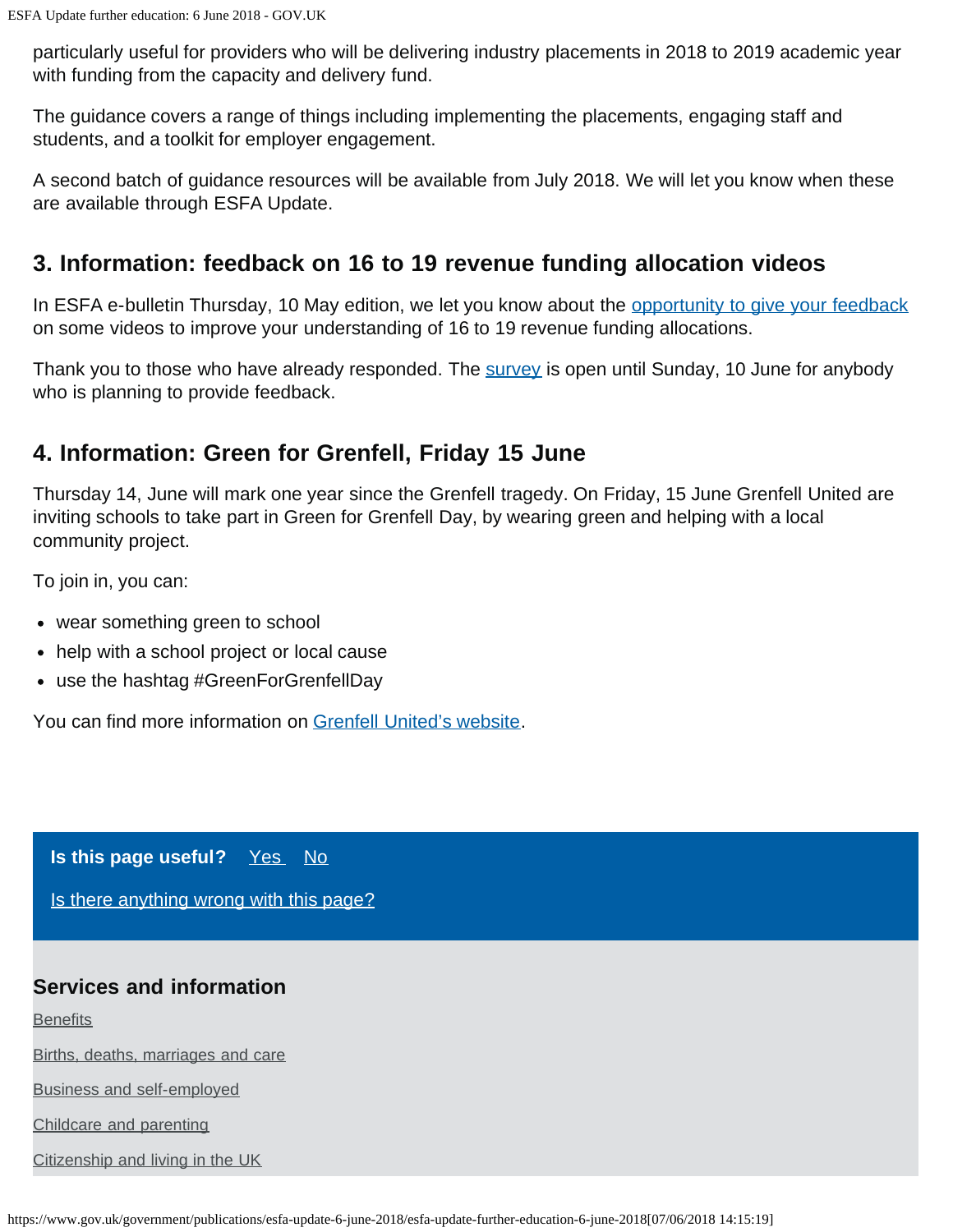particularly useful for providers who will be delivering industry placements in 2018 to 2019 academic year with funding from the capacity and delivery fund.

The guidance covers a range of things including implementing the placements, engaging staff and students, and a toolkit for employer engagement.

A second batch of guidance resources will be available from July 2018. We will let you know when these are available through ESFA Update.

## <span id="page-1-0"></span>**3. Information: feedback on 16 to 19 revenue funding allocation videos**

In ESFA e-bulletin Thursday, 10 May edition, we let you know about the [opportunity to give your feedback](https://www.gov.uk/government/publications/esfa-e-bulletin-10-may-2018-issue-219/esfa-e-bulletin-for-schools-colleges-local-authorities-and-other-16-to-19-providers-10-may-2018#information-feedback-on-16-to-19-revenue-funding-allocation-supporting-videos) on some videos to improve your understanding of 16 to 19 revenue funding allocations.

Thank you to those who have already responded. The [survey](https://www.smartsurvey.co.uk/s/6U3CK/) is open until Sunday, 10 June for anybody who is planning to provide feedback.

### <span id="page-1-1"></span>**4. Information: Green for Grenfell, Friday 15 June**

Thursday 14, June will mark one year since the Grenfell tragedy. On Friday, 15 June Grenfell United are inviting schools to take part in Green for Grenfell Day, by wearing green and helping with a local community project.

To join in, you can:

- wear something green to school
- help with a school project or local cause
- use the hashtag #GreenForGrenfellDay

You can find more information on [Grenfell United's website.](http://www.grenfellunited.org/current-campaigns/green-for-grenfell)

**Is this page useful?** [Yes No](https://www.gov.uk/contact/govuk)

[Is there anything wrong with this page?](https://www.gov.uk/contact/govuk)

### **Services and information**

**[Benefits](https://www.gov.uk/browse/benefits)** 

[Births, deaths, marriages and care](https://www.gov.uk/browse/births-deaths-marriages)

[Business and self-employed](https://www.gov.uk/browse/business)

[Childcare and parenting](https://www.gov.uk/browse/childcare-parenting)

[Citizenship and living in the UK](https://www.gov.uk/browse/citizenship)